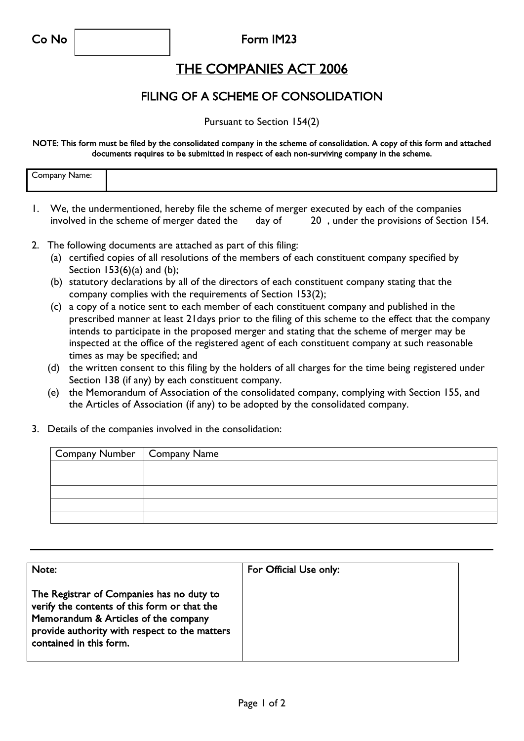## Co No Form IM23

## THE COMPANIES ACT 2006

## FILING OF A SCHEME OF CONSOLIDATION

Pursuant to Section 154(2)

NOTE: This form must be filed by the consolidated company in the scheme of consolidation. A copy of this form and attached documents requires to be submitted in respect of each non-surviving company in the scheme.

| $\overline{\phantom{a}}$<br><b>ompany</b><br>.<br>не |  |
|------------------------------------------------------|--|
|                                                      |  |
|                                                      |  |
|                                                      |  |

- 1. We, the undermentioned, hereby file the scheme of merger executed by each of the companies involved in the scheme of merger dated the day of 20, under the provisions of Section 154.
- 2. The following documents are attached as part of this filing:
	- (a) certified copies of all resolutions of the members of each constituent company specified by Section  $153(6)(a)$  and  $(b)$ ;
	- (b) statutory declarations by all of the directors of each constituent company stating that the company complies with the requirements of Section 153(2);
	- (c) a copy of a notice sent to each member of each constituent company and published in the prescribed manner at least 21days prior to the filing of this scheme to the effect that the company intends to participate in the proposed merger and stating that the scheme of merger may be inspected at the office of the registered agent of each constituent company at such reasonable times as may be specified; and
	- (d) the written consent to this filing by the holders of all charges for the time being registered under Section 138 (if any) by each constituent company.
	- (e) the Memorandum of Association of the consolidated company, complying with Section 155, and the Articles of Association (if any) to be adopted by the consolidated company.
- 3. Details of the companies involved in the consolidation:

| Company Number   Company Name |  |
|-------------------------------|--|
|                               |  |
|                               |  |
|                               |  |
|                               |  |
|                               |  |

| Note:                                                                                                                                                                                                         | For Official Use only: |
|---------------------------------------------------------------------------------------------------------------------------------------------------------------------------------------------------------------|------------------------|
| The Registrar of Companies has no duty to<br>verify the contents of this form or that the<br>Memorandum & Articles of the company<br>provide authority with respect to the matters<br>contained in this form. |                        |